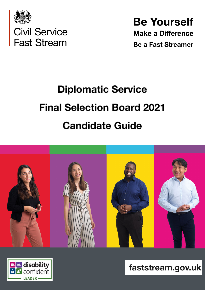

**Be Yourself Make a Difference** 

**Be a Fast Streamer** 

# **Diplomatic Service Final Selection Board 2021 Candidate Guide**





faststream.gov.uk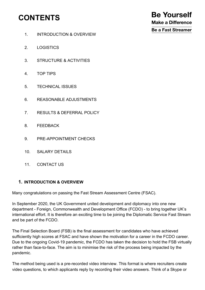## **CONTENTS**

- 1. INTRODUCTION & OVERVIEW
- 2. LOGISTICS
- 3. STRUCTURE & ACTIVITIES
- 4. TOP TIPS
- 5. TECHNICAL ISSUES
- 6. REASONABLE ADJUSTMENTS
- 7. RESULTS & DEFERRAL POLICY
- 8. FEEDBACK
- 9. PRE-APPOINTMENT CHECKS
- 10. SALARY DETAILS
- 11. CONTACT US

#### **1. INTRODUCTION & OVERVIEW**

Many congratulations on passing the Fast Stream Assessment Centre (FSAC).

In September 2020, the UK Government united development and diplomacy into one new department - Foreign, Commonwealth and Development Office (FCDO) - to bring together UK's international effort. It is therefore an exciting time to be joining the Diplomatic Service Fast Stream and be part of the FCDO.

The Final Selection Board (FSB) is the final assessment for candidates who have achieved sufficiently high scores at FSAC and have shown the motivation for a career in the FCDO career. Due to the ongoing Covid-19 pandemic, the FCDO has taken the decision to hold the FSB virtually rather than face-to-face. The aim is to minimise the risk of the process being impacted by the pandemic.

The method being used is a pre-recorded video interview. This format is where recruiters create video questions, to which applicants reply by recording their video answers. Think of a Skype or

**Be Yourself Make a Difference Be a Fast Streamer**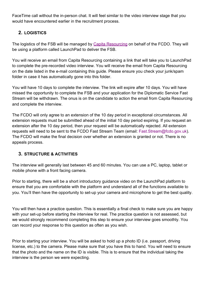FaceTime call without the in-person chat. It will feel similar to the video interview stage that you would have encountered earlier in the recruitment process.

#### **2. LOGISTICS**

The logistics of the FSB will be managed by [Capita Resourcing](http://www.capitaresourcing.co.uk/) on behalf of the FCDO. They will be using a platform called LaunchPad to deliver the FSB.

You will receive an email from Capita Resourcing containing a link that will take you to LaunchPad to complete the pre-recorded video interview. You will receive the email from Capita Resourcing on the date listed in the e-mail containing this guide. Please ensure you check your junk/spam folder in case it has automatically gone into this folder.

You will have 10 days to complete the interview. The link will expire after 10 days. You will have missed the opportunity to complete the FSB and your application for the Diplomatic Service Fast Stream will be withdrawn. The onus is on the candidate to action the email from Capita Resourcing and complete the interview.

The FCDO will only agree to an extension of the 10 day period in exceptional circumstances. All extension requests must be submitted ahead of the initial 10 day period expiring. If you request an extension after the 10 day period, then your request will be automatically rejected. All extension requests will need to be sent to the FCDO Fast Stream Team (email: Fast.Stream@fcdo.gov.uk). The FCDO will make the final decision over whether an extension is granted or not. There is no appeals process.

#### **3. STRUCTURE & ACTIVITIES**

The interview will generally last between 45 and 60 minutes. You can use a PC, laptop, tablet or mobile phone with a front facing camera.

Prior to starting, there will be a short introductory guidance video on the LaunchPad platform to ensure that you are comfortable with the platform and understand all of the functions available to you. You'll then have the opportunity to set-up your camera and microphone to get the best quality.

You will then have a practice question. This is essentially a final check to make sure you are happy with your set-up before starting the interview for real. The practice question is not assessed, but we would strongly recommend completing this step to ensure your interview goes smoothly. You can record your response to this question as often as you wish.

Prior to starting your interview. You will be asked to hold up a photo ID (i.e. passport, driving license, etc.) to the camera. Please make sure that you have this to hand. You will need to ensure that the photo and the name on the ID is visible. This is to ensure that the individual taking the interview is the person we were expecting.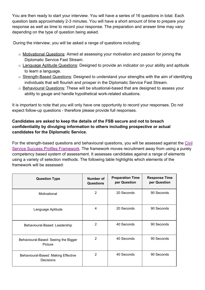You are then ready to start your interview. You will have a series of 16 questions in total. Each question lasts approximately 2-3 minutes. You will have a short amount of time to prepare your response as well as time to record your response. The preparation and answer time may vary depending on the type of question being asked.

During the interview, you will be asked a range of questions including:

- o Motivational Questions: Aimed at assessing your motivation and passion for joining the Diplomatic Service Fast Stream.
- o Language Aptitude Questions: Designed to provide an indicator on your ability and aptitude to learn a language.
- o Strength-Based Questions: Designed to understand your strengths with the aim of identifying individuals that will flourish and prosper in the Diplomatic Service Fast Stream.
- o Behavioural Questions: These will be situational-based that are designed to assess your ability to gauge and handle hypothetical work-related situations.

It is important to note that you will only have one opportunity to record your responses. Do not expect follow-up questions - therefore please provide full responses.

#### **Candidates are asked to keep the details of the FSB secure and not to breach confidentiality by divulging information to others including prospective or actual candidates for the Diplomatic Service.**

For the strength-based questions and behavioural questions, you will be assessed against the [Civil](https://www.gov.uk/government/publications/success-profiles) [Service Success Profiles Framework](https://www.gov.uk/government/publications/success-profiles). The framework moves recruitment away from using a purely competency based system of assessment. It assesses candidates against a range of elements using a variety of selection methods. The following table highlights which elements of the framework will be assessed:

| <b>Question Type</b>                             | Number of<br><b>Questions</b> | <b>Preparation Time</b><br>per Question | <b>Response Time</b><br>per Question |
|--------------------------------------------------|-------------------------------|-----------------------------------------|--------------------------------------|
| Motivational                                     | $\overline{2}$                | 20 Seconds                              | 90 Seconds                           |
| Language Aptitude                                | 4                             | 20 Seconds                              | 90 Seconds                           |
| Behavioural-Based: Leadership                    | $\overline{2}$                | 40 Seconds                              | 90 Seconds                           |
| Behavioural-Based: Seeing the Bigger<br>Picture  | 2                             | 40 Seconds                              | 90 Seconds                           |
| Behavioural-Based: Making Effective<br>Decisions | 2                             | 40 Seconds                              | 90 Seconds                           |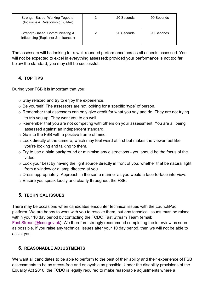| Strength-Based: Working Together<br>(Inclusive & Relationship Builder)  | 20 Seconds | 90 Seconds |
|-------------------------------------------------------------------------|------------|------------|
| Strength-Based: Communicating &<br>Influencing (Explainer & Influencer) | 20 Seconds | 90 Seconds |

The assessors will be looking for a well-rounded performance across all aspects assessed. You will not be expected to excel in everything assessed; provided your performance is not too far below the standard, you may still be successful.

#### **4. TOP TIPS**

During your FSB it is important that you:

- o Stay relaxed and try to enjoy the experience.
- o Be yourself. The assessors are not looking for a specific 'type' of person.
- o Remember that assessors can only give credit for what you say and do. They are not trying to trip you up. They want you to do well.
- o Remember that you are not competing with others on your assessment. You are all being assessed against an independent standard.
- o Go into the FSB with a positive frame of mind.
- o Look directly at the camera, which may feel weird at first but makes the viewer feel like you're looking and talking to them.
- $\circ$  Try to use a plain background or minimise any distractions you should be the focus of the video.
- o Look your best by having the light source directly in front of you, whether that be natural light from a window or a lamp directed at you.
- o Dress appropriately. Approach in the same manner as you would a face-to-face interview.
- o Ensure you speak loudly and clearly throughout the FSB.

#### **5. TECHNICAL ISSUES**

There may be occasions when candidates encounter technical issues with the LaunchPad platform. We are happy to work with you to resolve them, but any technical issues must be raised within your 10 day period by contacting the FCDO Fast Stream Team (email:

Fast.Stream@fcdo.gov.uk). We therefore strongly recommend completing the interview as soon as possible. If you raise any technical issues after your 10 day period, then we will not be able to assist you.

#### **6. REASONABLE ADJUSTMENTS**

We want all candidates to be able to perform to the best of their ability and their experience of FSB assessments to be as stress-free and enjoyable as possible. Under the disability provisions of the Equality Act 2010, the FCDO is legally required to make reasonable adjustments where a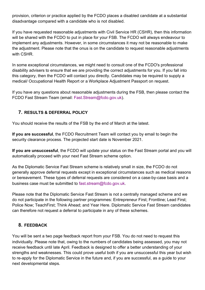provision, criterion or practice applied by the FCDO places a disabled candidate at a substantial disadvantage compared with a candidate who is not disabled.

If you have requested reasonable adjustments with Civil Service HR (CSHR), then this information will be shared with the FCDO to put in place for your FSB. The FCDO will always endeavour to implement any adjustments. However, in some circumstances it may not be reasonable to make the adjustment. Please note that the onus is on the candidate to request reasonable adjustments with CSHR.

In some exceptional circumstances, we might need to consult one of the FCDO's professional disability advisers to ensure that we are providing the correct adjustments for you. If you fall into this category, then the FCDO will contact you directly. Candidates may be required to supply a medical/ Occupational Health Report or a Workplace Adjustment Passport on request.

If you have any questions about reasonable adjustments during the FSB, then please contact the FCDO Fast Stream Team (email: Fast.Stream@fcdo.gov.uk).

#### **7. RESULTS & DEFERRAL POLICY**

You should receive the results of the FSB by the end of March at the latest.

**If you are successful**, the FCDO Recruitment Team will contact you by email to begin the security clearance process. The projected start date is November 2021.

**If you are unsuccessful**, the FCDO will update your status on the Fast Stream portal and you will automatically proceed with your next Fast Stream scheme option.

As the Diplomatic Service Fast Stream scheme is relatively small in size, the FCDO do not generally approve deferral requests except in exceptional circumstances such as medical reasons or bereavement. These types of deferral requests are considered on a case-by-case basis and a business case must be submitted to fast.stream@fcdo.gov.uk.

Please note that the Diplomatic Service Fast Stream is not a centrally managed scheme and we do not participate in the following partner programmes: Entrepreneur First; Frontline; Lead First; Police Now; TeachFirst; Think Ahead; and Year Here. Diplomatic Service Fast Stream candidates can therefore not request a deferral to participate in any of these schemes.

#### **8. FEEDBACK**

You will be sent a two page feedback report from your FSB. You do not need to request this individually. Please note that, owing to the numbers of candidates being assessed, you may not receive feedback until late April. Feedback is designed to offer a better understanding of your strengths and weaknesses. This could prove useful both if you are unsuccessful this year but wish to re-apply for the Diplomatic Service in the future and, if you are successful, as a guide to your next developmental steps.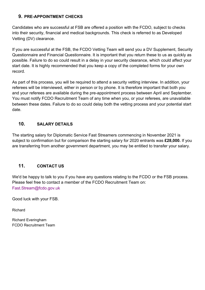#### **9. PRE-APPOINTMENT CHECKS**

Candidates who are successful at FSB are offered a position with the FCDO, subject to checks into their security, financial and medical backgrounds. This check is referred to as Developed Vetting (DV) clearance.

If you are successful at the FSB, the FCDO Vetting Team will send you a DV Supplement, Security Questionnaire and Financial Questionnaire. It is important that you return these to us as quickly as possible. Failure to do so could result in a delay in your security clearance, which could affect your start date. It is highly recommended that you keep a copy of the completed forms for your own record.

As part of this process, you will be required to attend a security vetting interview. In addition, your referees will be interviewed, either in person or by phone. It is therefore important that both you and your referees are available during the pre-appointment process between April and September. You must notify FCDO Recruitment Team of any time when you, or your referees, are unavailable between these dates. Failure to do so could delay both the vetting process and your potential start date.

#### **10. SALARY DETAILS**

The starting salary for Diplomatic Service Fast Streamers commencing in November 2021 is subject to confirmation but for comparison the starting salary for 2020 entrants was **£28,000.** If you are transferring from another government department, you may be entitled to transfer your salary.

#### **11. CONTACT US**

We'd be happy to talk to you if you have any questions relating to the FCDO or the FSB process. Please feel free to contact a member of the FCDO Recruitment Team on: Fast.Stream@fcdo.gov.uk

Good luck with your FSB.

Richard

Richard Everingham FCDO Recruitment Team